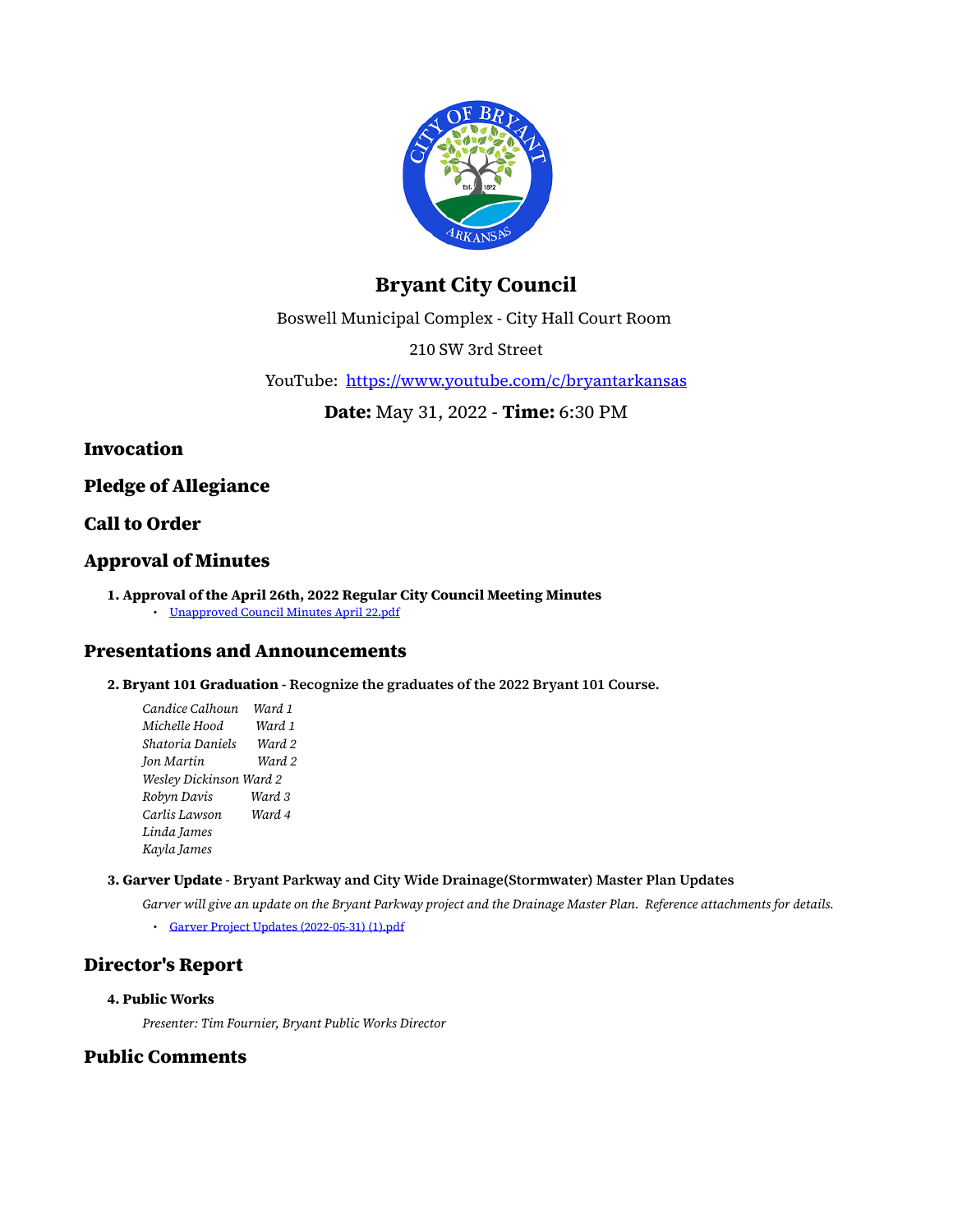

# **Bryant City Council**

Boswell Municipal Complex - City Hall Court Room

210 SW 3rd Street

YouTube: <https://www.youtube.com/c/bryantarkansas>

**Date:** May 31, 2022 - **Time:** 6:30 PM

**Invocation**

**Pledge of Allegiance**

### **Call to Order**

### **Approval of Minutes**

**1. Approval of the April 26th, 2022 Regular City Council Meeting Minutes** • [Unapproved Council Minutes April 22.pdf](https://www.cityofbryant.com/grab/agendas/uploads/agenda_106/unapproved_council_minutes_april_22.pdf)

### **Presentations and Announcements**

**2. Bryant 101 Graduation - Recognize the graduates of the 2022 Bryant 101 Course.**

*Candice Calhoun Ward 1 Michelle Hood Ward 1 Shatoria Daniels Ward 2 Jon Martin Ward 2 Wesley Dickinson Ward 2 Robyn Davis Ward 3 Carlis Lawson Ward 4 Linda James Kayla James*

#### **3. Garver Update - Bryant Parkway and City Wide Drainage(Stormwater) Master Plan Updates**

*Garver will give an update on the Bryant Parkway project and the Drainage Master Plan. Reference attachments for details.*

• [Garver Project Updates \(2022-05-31\) \(1\).pdf](https://www.cityofbryant.com/grab/agendas/uploads/agenda_106/garver_project_updates_-2022-05-31-_-1-.pdf)

### **Director's Report**

#### **4. Public Works**

*Presenter: Tim Fournier, Bryant Public Works Director*

### **Public Comments**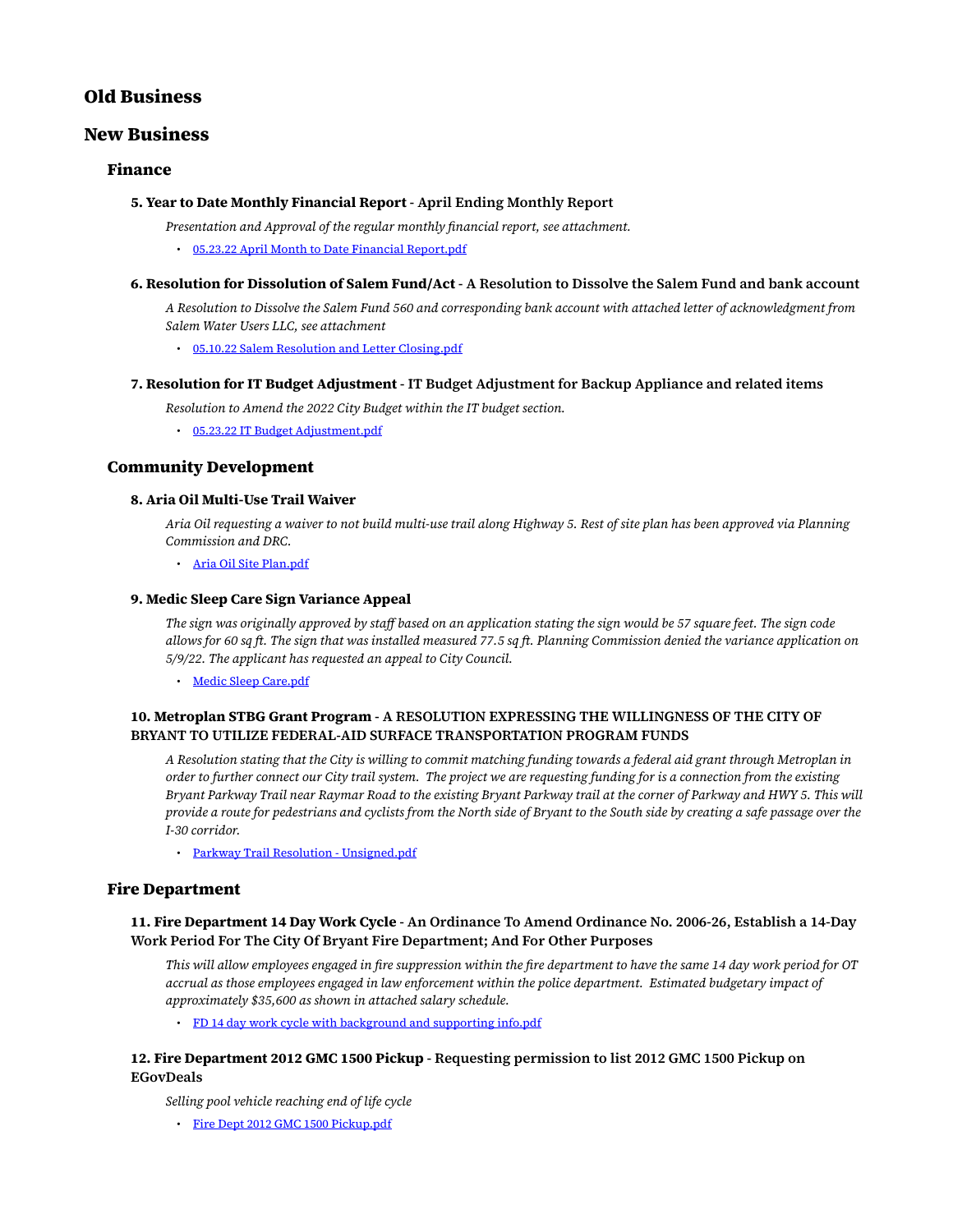### **Old Business**

### **New Business**

#### **Finance**

#### **5. Year to Date Monthly Financial Report - April Ending Monthly Report**

- *Presentation and Approval of the regular monthly financial report, see attachment.*
	- [05.23.22 April Month to Date Financial Report.pdf](https://www.cityofbryant.com/grab/agendas/uploads/agenda_106/05-23-22_april_month_to_date_financial_report.pdf)
- **6. Resolution for Dissolution of Salem Fund/Act A Resolution to Dissolve the Salem Fund and bank account**

*A Resolution to Dissolve the Salem Fund 560 and corresponding bank account with attached letter of acknowledgment from Salem Water Users LLC, see attachment*

• [05.10.22 Salem Resolution and Letter Closing.pdf](https://www.cityofbryant.com/grab/agendas/uploads/agenda_106/05-10-22_salem_resolution_and_letter_closing.pdf)

#### **7. Resolution for IT Budget Adjustment - IT Budget Adjustment for Backup Appliance and related items**

*Resolution to Amend the 2022 City Budget within the IT budget section.*

• [05.23.22 IT Budget Adjustment.pdf](https://www.cityofbryant.com/grab/agendas/uploads/agenda_106/05-23-22_it_budget_adjustment.pdf)

#### **Community Development**

#### **8. Aria Oil Multi-Use Trail Waiver**

*Aria Oil requesting a waiver to not build multi-use trail along Highway 5. Rest of site plan has been approved via Planning Commission and DRC.*

• [Aria Oil Site Plan.pdf](https://www.cityofbryant.com/grab/agendas/uploads/agenda_106/aria_oil_site_plan.pdf)

#### **9. Medic Sleep Care Sign Variance Appeal**

*The sign was originally approved by staff based on an application stating the sign would be 57 square feet. The sign code allows for 60 sq ft. The sign that was installed measured 77.5 sq ft. Planning Commission denied the variance application on 5/9/22. The applicant has requested an appeal to City Council.*

• [Medic Sleep Care.pdf](https://www.cityofbryant.com/grab/agendas/uploads/agenda_106/medic_sleep_care.pdf)

#### **10. Metroplan STBG Grant Program - A RESOLUTION EXPRESSING THE WILLINGNESS OF THE CITY OF BRYANT TO UTILIZE FEDERAL-AID SURFACE TRANSPORTATION PROGRAM FUNDS**

*A Resolution stating that the City is willing to commit matching funding towards a federal aid grant through Metroplan in order to further connect our City trail system. The project we are requesting funding for is a connection from the existing Bryant Parkway Trail near Raymar Road to the existing Bryant Parkway trail at the corner of Parkway and HWY 5. This will provide a route for pedestrians and cyclists from the North side of Bryant to the South side by creating a safe passage over the I-30 corridor.*

• [Parkway Trail Resolution - Unsigned.pdf](https://www.cityofbryant.com/grab/agendas/uploads/agenda_106/parkway_trail_resolution_-_unsigned.pdf)

#### **Fire Department**

#### **11. Fire Department 14 Day Work Cycle - An Ordinance To Amend Ordinance No. 2006-26, Establish a 14-Day Work Period For The City Of Bryant Fire Department; And For Other Purposes**

*This will allow employees engaged in fire suppression within the fire department to have the same 14 day work period for OT accrual as those employees engaged in law enforcement within the police department. Estimated budgetary impact of approximately \$35,600 as shown in attached salary schedule.*

• [FD 14 day work cycle with background and supporting info.pdf](https://www.cityofbryant.com/grab/agendas/uploads/agenda_106/fd_14_day_work_cycle_with_background_and_supporting_info.pdf)

#### **12. Fire Department 2012 GMC 1500 Pickup - Requesting permission to list 2012 GMC 1500 Pickup on EGovDeals**

*Selling pool vehicle reaching end of life cycle*

• [Fire Dept 2012 GMC 1500 Pickup.pdf](https://www.cityofbryant.com/grab/agendas/uploads/agenda_106/fire_dept_2012_gmc_1500_pickup.pdf)